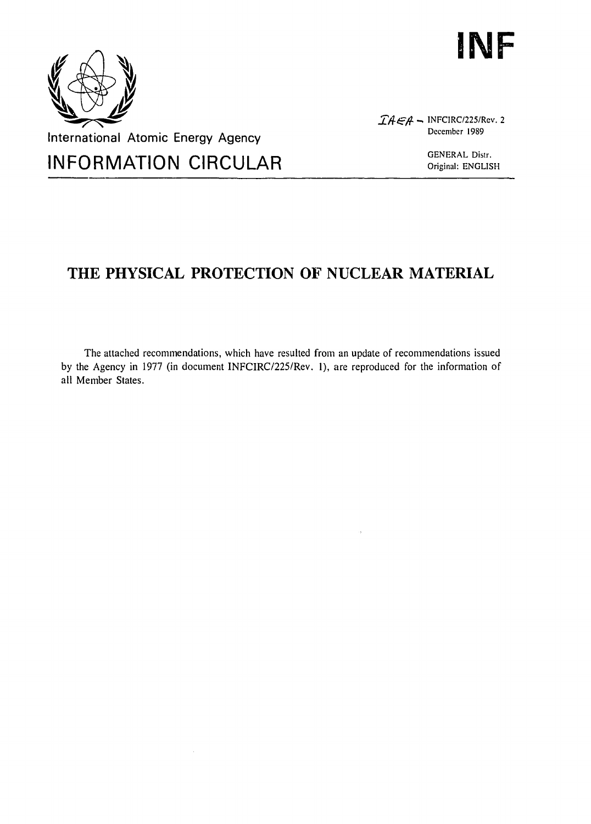



 $\widehat{I}A \in A$  - INFCIRC/225/Rev. 2 December 1989

# **THE PHYSICAL PROTECTION OF NUCLEAR MATERIAL**

The attached recommendations, which have resulted from an update of recommendations issued by the Agency in 1977 (in document INFCIRC/225/Rev. 1), are reproduced for the information of all Member States.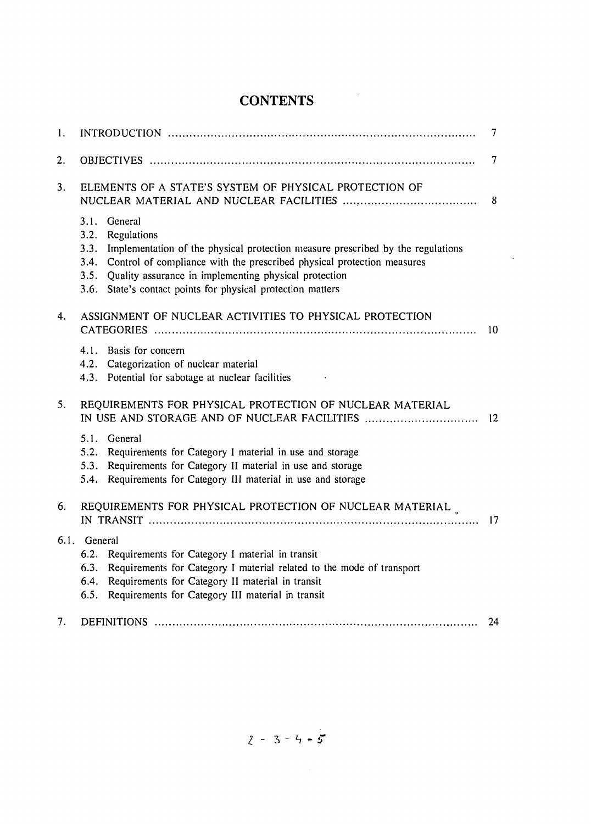# **CONTENTS**

 $\sim$ 

 $\bar{\mathcal{A}}$ 

| 1.                                                           | 7                                                                                                                                                                                                                                                                                                                                                      |                 |  |  |  |
|--------------------------------------------------------------|--------------------------------------------------------------------------------------------------------------------------------------------------------------------------------------------------------------------------------------------------------------------------------------------------------------------------------------------------------|-----------------|--|--|--|
| 2.                                                           |                                                                                                                                                                                                                                                                                                                                                        | 7               |  |  |  |
| ELEMENTS OF A STATE'S SYSTEM OF PHYSICAL PROTECTION OF<br>3. |                                                                                                                                                                                                                                                                                                                                                        |                 |  |  |  |
|                                                              | 3.1.<br>General<br>3.2.<br>Regulations<br>3.3.<br>Implementation of the physical protection measure prescribed by the regulations<br>Control of compliance with the prescribed physical protection measures<br>3.4.<br>Quality assurance in implementing physical protection<br>3.5.<br>State's contact points for physical protection matters<br>3.6. |                 |  |  |  |
| 4.                                                           | ASSIGNMENT OF NUCLEAR ACTIVITIES TO PHYSICAL PROTECTION                                                                                                                                                                                                                                                                                                | 10              |  |  |  |
|                                                              | 4.1. Basis for concern<br>4.2. Categorization of nuclear material<br>4.3. Potential for sabotage at nuclear facilities                                                                                                                                                                                                                                 |                 |  |  |  |
| 5.                                                           | REQUIREMENTS FOR PHYSICAL PROTECTION OF NUCLEAR MATERIAL<br>IN USE AND STORAGE AND OF NUCLEAR FACILITIES                                                                                                                                                                                                                                               | $\overline{12}$ |  |  |  |
|                                                              | 5.1. General<br>5.2.<br>Requirements for Category I material in use and storage<br>Requirements for Category II material in use and storage<br>5.3.<br>Requirements for Category III material in use and storage<br>5.4.                                                                                                                               |                 |  |  |  |
| 6.                                                           | REQUIREMENTS FOR PHYSICAL PROTECTION OF NUCLEAR MATERIAL<br>17                                                                                                                                                                                                                                                                                         |                 |  |  |  |
|                                                              | 6.1. General<br>6.2.<br>Requirements for Category I material in transit<br>Requirements for Category I material related to the mode of transport<br>6.3.<br>Requirements for Category II material in transit<br>6.4.<br>Requirements for Category III material in transit<br>6.5.                                                                      |                 |  |  |  |
| 7.                                                           |                                                                                                                                                                                                                                                                                                                                                        | 24              |  |  |  |

 $2 - 3 - 4 - 5$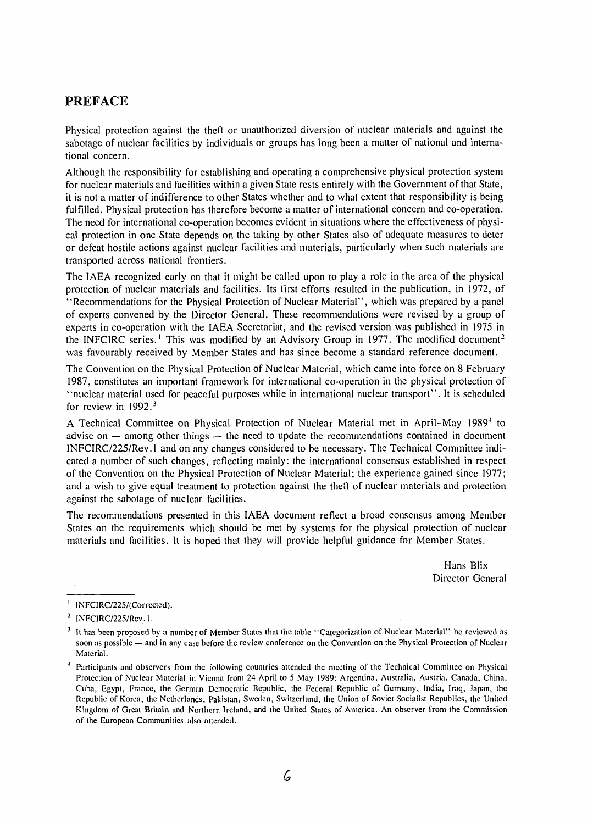## PREFACE

Physical protection against the theft or unauthorized diversion of nuclear materials and against the sabotage of nuclear facilities by individuals or groups has long been a matter of national and international concern.

Although the responsibility for establishing and operating a comprehensive physical protection system for nuclear materials and facilities within a given State rests entirely with the Government of that State, it is not a matter of indifference to other States whether and to what extent that responsibility is being fulfilled. Physical protection has therefore become a matter of international concern and co-operation. The need for international co-operation becomes evident in situations where the effectiveness of physical protection in one State depends on the taking by other States also of adequate measures to deter or defeat hostile actions against nuclear facilities and materials, particularly when such materials are transported across national frontiers.

The IAEA recognized early on that it might be called upon to play a role in the area of the physical protection of nuclear materials and facilities. Its first efforts resulted in the publication, in 1972, of "Recommendations for the Physical Protection of Nuclear Material", which was prepared by a panel of experts convened by the Director General. These recommendations were revised by a group of experts in co-operation with the IAEA Secretariat, and the revised version was published in 1975 in the INFCIRC series.<sup>1</sup> This was modified by an Advisory Group in 1977. The modified document<sup>2</sup> was favourably received by Member States and has since become a standard reference document.

The Convention on the Physical Protection of Nuclear Material, which came into force on 8 February 1987, constitutes an important framework for international co-operation in the physical protection of "nuclear material used for peaceful purposes while in international nuclear transport". It is scheduled for review in  $1992.<sup>3</sup>$ 

A Technical Committee on Physical Protection of Nuclear Material met in April-May 1989<sup>4</sup> to advise on — among other things — the need to update the recommendations contained in document INFCIRC/225/Rev.l and on any changes considered to be necessary. The Technical Committee indicated a number of such changes, reflecting mainly: the international consensus established in respect of the Convention on the Physical Protection of Nuclear Material; the experience gained since 1977; and a wish to give equal treatment to protection against the theft of nuclear materials and protection against the sabotage of nuclear facilities.

The recommendations presented in this IAEA document reflect a broad consensus among Member States on the requirements which should be met by systems for the physical protection of nuclear materials and facilities. It is hoped that they will provide helpful guidance for Member States.

> Hans Blix Director General

<sup>&</sup>lt;sup>1</sup> INFCIRC/225/(Corrected).

<sup>&</sup>lt;sup>2</sup> INFCIRC/225/Rev.1.

<sup>&</sup>lt;sup>3</sup> It has been proposed by a number of Member States that the table "Categorization of Nuclear Material" be reviewed as soon as possible — and in any case before the review conference on the Convention on the Physical Protection of Nuclear Material.

<sup>4</sup> Participants and observers from the following countries attended the meeting of the Technical Committee on Physical Protection of Nuclear Material in Vienna from 24 April to 5 May 1989: Argentina, Australia, Austria, Canada, China, Cuba, Egypt, France, the German Democratic Republic, the Federal Republic of Germany, India, Iraq, Japan, the Republic of Korea, the Netherlands, Pakistan, Sweden, Switzerland, the Union of Soviet Socialist Republics, the United Kingdom of Great Britain and Northern Ireland, and the United States of America. An observer from the Commission of the European Communities also attended.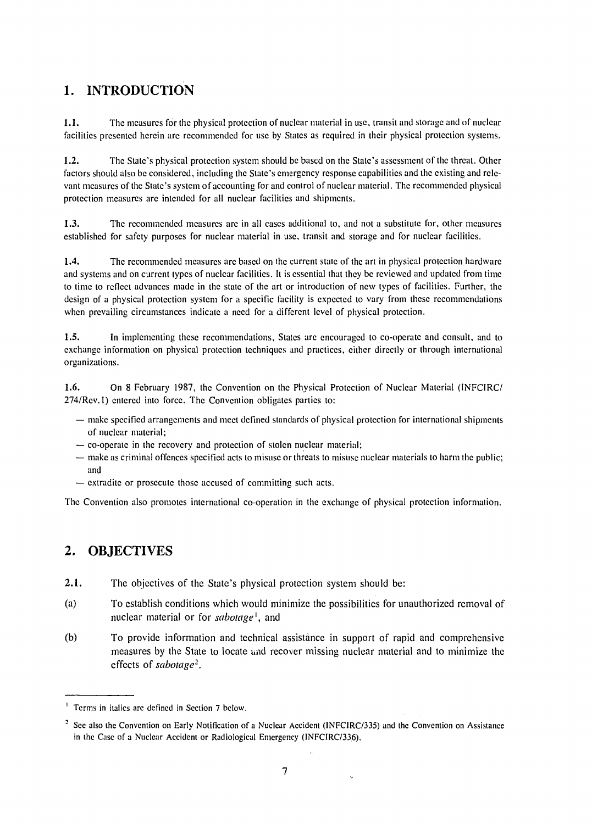## 1. INTRODUCTION

1.1. The measures for the physical protection of nuclear material in use, transit and storage and of nuclear facilities presented herein are recommended for use by States as required in their physical protection systems.

1.2. The State's physical protection system should be based on the State's assessment of the threat. Other factors should also be considered, including the State's emergency response capabilities and the existing and relevant measures of the State's system of accounting for and control of nuclear material. The recommended physical protection measures are intended for all nuclear facilities and shipments.

1.3. The recommended measures arc in all cases additional to, and not a substitute for, other measures established for safety purposes for nuclear material in use, transit and storage and for nuclear facilities.

1.4. The recommended measures arc based on the current state of the art in physical protection hardware and systems and on current types of nuclear facilities. It is essential that they be reviewed and updated from time to time to reflect advances made in the state of the art or introduction of new types of facilities. Further, the design of a physical protection system for a specific facility is expected to vary from these recommendations when prevailing circumstances indicate a need for a different level of physical protection.

1.5. In implementing these recommendations, States arc encouraged to co-operate and consult, and to exchange information on physical protection techniques and practices, cither directly or through international organizations.

1.6. On 8 February 1987, the Convention on the Physical Protection of Nuclear Material (INFCIRC/ 274/Rev. 1) entered into force. The Convention obligates parties to:

- make specified arrangements and meet defined standards of physical protection for international shipments of nuclear material;
- co-operate in the recovery and protection of stolen nuclear material;
- make as criminal offences specified acts to misuse or threats to misuse nuclear materials to harm the public; and
- extradite or prosecute those accused of committing such acts.

The Convention also promotes international co-operation in the exchange of physical protection information.

## 2. OBJECTIVES

- 2.1. The objectives of the State's physical protection system should be:
- (a) To establish conditions which would minimize the possibilities for unauthorized removal of nuclear material or for *sabotage<sup>1</sup> ,* and
- (b) To provide information and technical assistance in support of rapid and comprehensive measures by the State to locate and recover missing nuclear material and to minimize the effects of *sabotage<sup>2</sup> .*

 $\ddot{\phantom{0}}$ 

<sup>&</sup>lt;sup>1</sup> Terms in italics are defined in Section 7 below.

<sup>&</sup>lt;sup>2</sup> Sec also the Convention on Early Notification of a Nuclear Accident (INFCIRC/335) and the Convention on Assistance in the Case of a Nuclear Accident or Radiological Emergency (INFCIRC/336).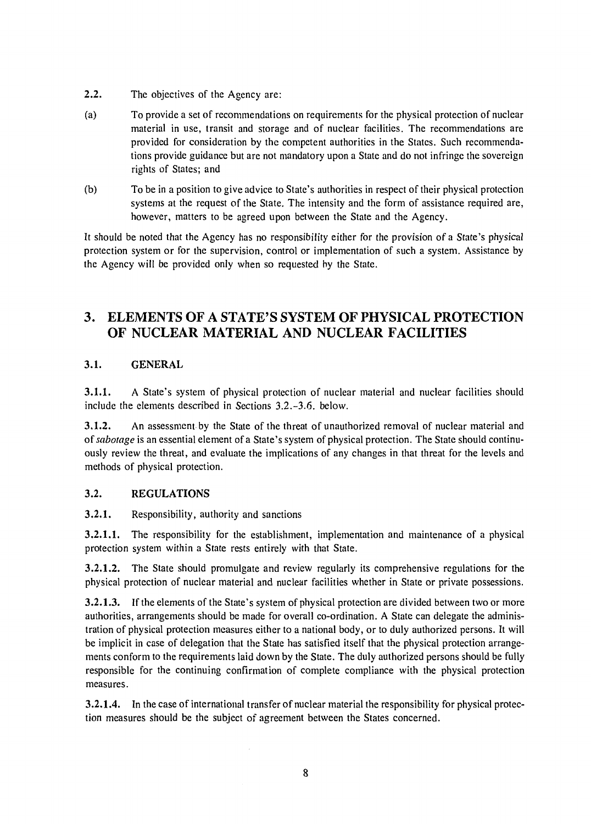- 2.2. The objectives of the Agency are:
- (a) To provide a set of recommendations on requirements for the physical protection of nuclear material in use, transit and storage and of nuclear facilities. The recommendations are provided for consideration by the competent authorities in the States. Such recommendations provide guidance but are not mandatory upon a State and do not infringe the sovereign rights of States; and
- (b) To be in a position to give advice to State's authorities in respect of their physical protection systems at the request of the State. The intensity and the form of assistance required are, however, matters to be agreed upon between the State and the Agency.

It should be noted that the Agency has no responsibility either for the provision of a State's physical protection system or for the supervision, control or implementation of such a system. Assistance by the Agency will be provided only when so requested by the State.

## 3. ELEMENTS OF A STATE'S SYSTEM OF PHYSICAL PROTECTION OF NUCLEAR MATERIAL AND NUCLEAR FACILITIES

### 3.1. GENERAL

**3.1.1.** A State's system of physical protection of nuclear material and nuclear facilities should include the elements described in Sections 3.2.-3.6. below.

**3.1.2.** An assessment by the State of the threat of unauthorized removal of nuclear material and *of sabotage* is an essential element of a State's system of physical protection. The State should continuously review the threat, and evaluate the implications of any changes in that threat for the levels and methods of physical protection.

### **3.2. REGULATIONS**

**3.2.1.** Responsibility, authority and sanctions

**3.2.1.1.** The responsibility for the establishment, implementation and maintenance of a physical protection system within a State rests entirely with that State.

**3.2.1.2.** The State should promulgate and review regularly its comprehensive regulations for the physical protection of nuclear material and nuclear facilities whether in State or private possessions.

**3.2.1.3.** If the elements of the State's system of physical protection are divided between two or more authorities, arrangements should be made for overall co-ordination. A State can delegate the administration of physical protection measures either to a national body, or to duly authorized persons. It will be implicit in case of delegation that the State has satisfied itself that the physical protection arrangements conform to the requirements laid down by the State. The duly authorized persons should be fully responsible for the continuing confirmation of complete compliance with the physical protection measures.

**3.2.1.4.** In the case of international transfer of nuclear material the responsibility for physical protection measures should be the subject of agreement between the States concerned.

 $\bar{z}$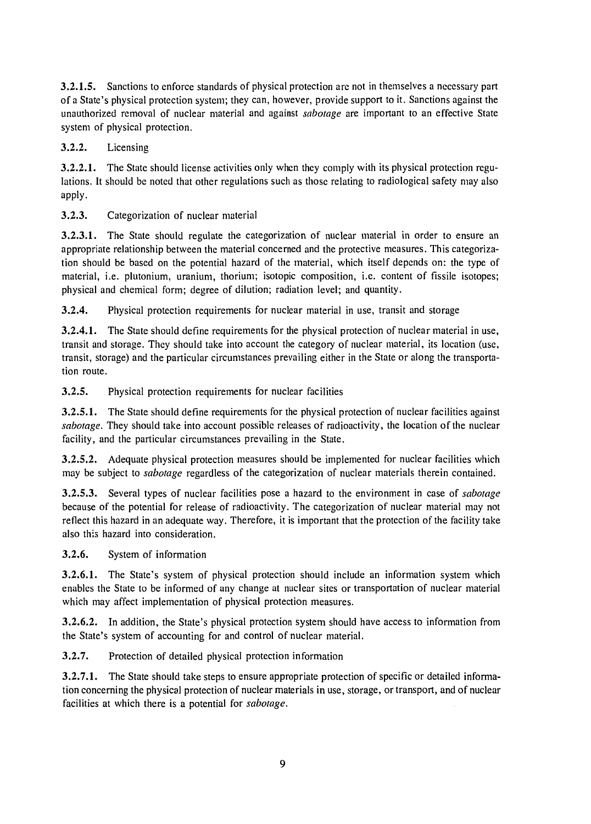3.2.1.5. Sanctions to enforce standards of physical protection are not in themselves a necessary part of a State's physical protection system; they can, however, provide support to it. Sanctions against the unauthorized removal of nuclear material and against *sabotage* are important to an effective State system of physical protection.

3.2.2. Licensing

3.2.2.1. The State should license activities only when they comply with its physical protection regulations. It should be noted that other regulations such as those relating to radiological safety may also apply.

3.2.3. Categorization of nuclear material

3.2.3.1. The State should regulate the categorization of nuclear material in order to ensure an appropriate relationship between the material concerned and the protective measures. This categorization should be based on the potential hazard of the material, which itself depends on: the type of material, i.e. plutonium, uranium, thorium; isotopic composition, i.e. content of fissile isotopes; physical and chemical form; degree of dilution; radiation level; and quantity.

3.2.4. Physical protection requirements for nuclear material in use, transit and storage

3.2.4.1. The State should define requirements for the physical protection of nuclear material in use, transit and storage. They should take into account the category of nuclear material, its location (use, transit, storage) and the particular circumstances prevailing either in the State or along the transportation route.

3.2.5. Physical protection requirements for nuclear facilities

3.2.5.1. The State should define requirements for the physical protection of nuclear facilities against *sabotage.* They should take into account possible releases of radioactivity, the location of the nuclear facility, and the particular circumstances prevailing in the State.

3.2.5.2. Adequate physical protection measures should be implemented for nuclear facilities which may be subject to *sabotage* regardless of the categorization of nuclear materials therein contained.

3.2.5.3. Several types of nuclear facilities pose a hazard to the environment in case of *sabotage*  because of the potential for release of radioactivity. The categorization of nuclear material may not reflect this hazard in an adequate way. Therefore, it is important that the protection of the facility take also this hazard into consideration.

3.2.6. System of information

3.2.6.1. The State's system of physical protection should include an information system which enables the State to be informed of any change at nuclear sites or transportation of nuclear material which may affect implementation of physical protection measures.

3.2.6.2. In addition, the State's physical protection system should have access to information from the State's system of accounting for and control of nuclear material.

3.2.7. Protection of detailed physical protection information

3.2.7.1. The State should take steps to ensure appropriate protection of specific or detailed information concerning the physical protection of nuclear materials in use, storage, or transport, and of nuclear facilities at which there is a potential for *sabotage.*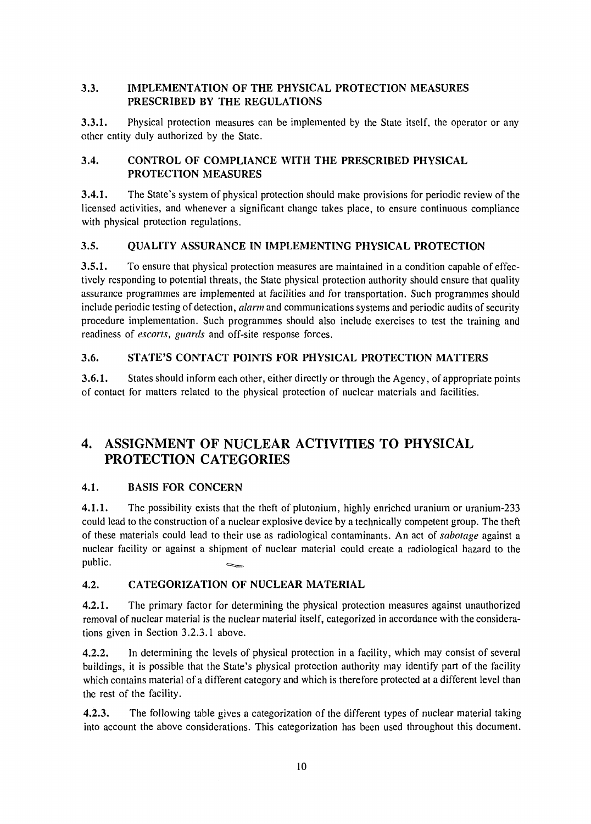### **3.3. IMPLEMENTATION OF THE PHYSICAL PROTECTION MEASURES PRESCRIBED BY THE REGULATIONS**

**3.3.1.** Physical protection measures can be implemented by the State itself, the operator or any other entity duly authorized by the State.

### **3.4. CONTROL OF COMPLIANCE WITH THE PRESCRIBED PHYSICAL PROTECTION MEASURES**

**3.4.1.** The State's system of physical protection should make provisions for periodic review of the licensed activities, and whenever a significant change takes place, to ensure continuous compliance with physical protection regulations.

### **3.5. QUALITY ASSURANCE IN IMPLEMENTING PHYSICAL PROTECTION**

**3.5.1.** To ensure that physical protection measures are maintained in a condition capable of effectively responding to potential threats, the State physical protection authority should ensure that quality assurance programmes are implemented at facilities and for transportation. Such programmes should include periodic testing of detection, *alarm* and communications systems and periodic audits of security procedure implementation. Such programmes should also include exercises to test the training and readiness of *escorts, guards* and off-site response forces.

## **3.6. STATE'S CONTACT POINTS FOR PHYSICAL PROTECTION MATTERS**

**3.6.1.** States should inform each other, either directly or through the Agency, of appropriate points of contact for matters related to the physical protection of nuclear materials and facilities.

## 4. ASSIGNMENT OF NUCLEAR ACTIVITIES TO PHYSICAL PROTECTION CATEGORIES

## **4.1. BASIS FOR CONCERN**

**4.1.1.** The possibility exists that the theft of plutonium, highly enriched uranium or uranium-233 could lead to the construction of a nuclear explosive device by a technically competent group. The theft of these materials could lead to their use as radiological contaminants. An act of *sabotage* against a nuclear facility or against a shipment of nuclear material could create a radiological hazard to the public.

## **4.2. CATEGORIZATION OF NUCLEAR MATERIAL**

**4.2.1.** The primary factor for determining the physical protection measures against unauthorized removal of nuclear material is the nuclear material itself, categorized in accordance with the considerations given in Section 3.2.3.1 above.

**4.2.2.** In determining the levels of physical protection in a facility, which may consist of several buildings, it is possible that the State's physical protection authority may identify part of the facility which contains material of a different category and which is therefore protected at a different level than the rest of the facility.

**4.2.3.** The following table gives a categorization of the different types of nuclear material taking into account the above considerations. This categorization has been used throughout this document.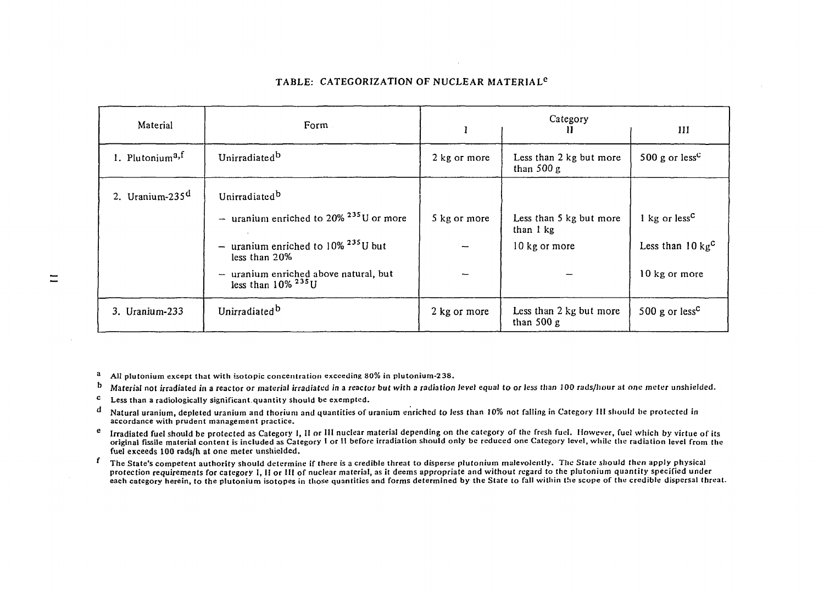| Material                    | Form                                                                                                                                                                                                                                                    |              | Category<br>П                                         | Ш                                                                        |
|-----------------------------|---------------------------------------------------------------------------------------------------------------------------------------------------------------------------------------------------------------------------------------------------------|--------------|-------------------------------------------------------|--------------------------------------------------------------------------|
| 1. Plutonium <sup>a,f</sup> | Unirradiated <sup>b</sup>                                                                                                                                                                                                                               | 2 kg or more | Less than 2 kg but more<br>than $500 g$               | 500 g or less <sup>c</sup>                                               |
| 2. Uranium-235 $d$          | Unirradiated <sup>b</sup><br>- uranium enriched to 20% $^{235}$ U or more<br>- uranium enriched to $10\%$ <sup>235</sup> U but<br>less than 20%<br>uranium enriched above natural, but<br>less than $10\%$ <sup>235</sup> U<br>$\overline{\phantom{m}}$ | 5 kg or more | Less than 5 kg but more<br>than 1 kg<br>10 kg or more | 1 kg or $lessC$<br>Less than $10 \text{ kg}^{\text{c}}$<br>10 kg or more |
| 3. Uranium-233              | Unirradiated <sup>b</sup>                                                                                                                                                                                                                               | 2 kg or more | Less than 2 kg but more<br>than $500 g$               | 500 g or less <sup>c</sup>                                               |

#### **TABLE: CATEGORIZATION OF NUCLEAR MATERIAL<sup>6</sup>**

**AU plutonium except that with isotopic concentration exceeding 80% in plutonium-238.**   $\bf{a}$ 

**Material not irradiated in a reactor or material irradiated** *in* **a** *reactor but with a radiation* **level equal** *to or ¡ess than* **100 rads/liour at one meter unshielded.**   $\mathbf b$ 

- **Less than a radiologically significant quantity should be exempted.**   $\mathbf c$
- **Natural uranium, depleted uranium and thorium and quantities of uranium enriched to Jess than 10% not falling in Category III should he protected in**  đ **accordance with prudent management practice.**
- $\mathbf{e}$ **Irradiated fuel should be protected as Category I, II or III nuclear material depending on the category of the fresh fuel. However, fuel which by virtue of its original fissile material content is included as Category I or II before irradiation should only be reduced one Category level, while the radiation level from the fuel exceeds 100 rads/h at one meter unshielded.**
- **The State's competent authority should determine if there is a credible threat to disperse plutonium malevolently. The State should then apply physical protection requirements for category I, II or III of nuclear material, as it deems appropriate and without regard to the plutonium quantity specified under each category herein, to the plutonium isotopes in those quantities and forms determined by the State to fall within the scope of the credible dispersal threat.**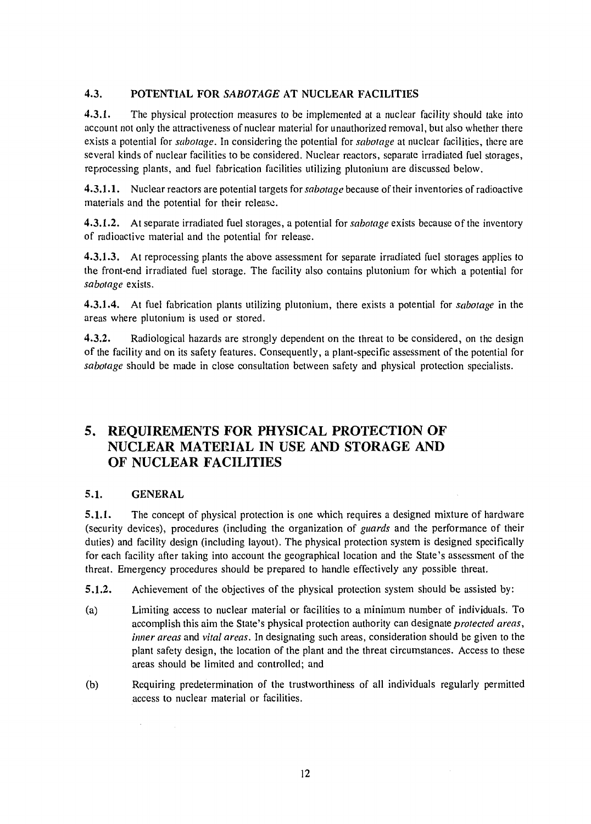### 4.3. POTENTIAL FOR *SABOTAGE* AT NUCLEAR FACILITIES

4.3.1. The physical protection measures to be implemented at a nuclear facility should take into account not only the attractiveness of nuclear material for unauthorized removal, but also whether there exists a potential for *sabotage.* In considering the potential for *sabotage* at nuclear facilities, there are several kinds of nuclear facilities to be considered. Nuclear reactors, separate irradiated fuel storages, reprocessing plants, and fuel fabrication facilities utilizing plutonium are discussed below.

4.3.1.1. Nuclear reactors are potential targets for *sabotage* because of their inventories of radioactive materials and the potential for their release.

4.3.1.2. At separate irradiated fuel storages, a potential for *sabotage* exists because of the inventory of radioactive material and the potential for release.

4.3.1.3. At reprocessing plants the above assessment for separate irradiated fuel storages applies to the front-end irradiated fuel storage. The facility also contains plutonium for which a potential for *sabotage* exists.

4.3.1.4. At fuel fabrication plants utilizing plutonium, there exists a potential for *sabotage* in the areas where plutonium is used or stored.

4.3.2. Radiological hazards are strongly dependent on the threat to be considered, on the design of the facility and on its safety features. Consequently, a plant-specific assessment of the potential for *sabotage* should be made in close consultation between safety and physical protection specialists.

## 5. REQUIREMENTS FOR PHYSICAL PROTECTION OF NUCLEAR MATERIAL IN USE AND STORAGE AND OF NUCLEAR FACILITIES

### 5.1. GENERAL

5.1.1. The concept of physical protection is one which requires a designed mixture of hardware (security devices), procedures (including the organization of *guards* and the performance of their duties) and facility design (including layout). The physical protection system is designed specifically for each facility after taking into account the geographical location and the State's assessment of the threat. Emergency procedures should be prepared to handle effectively any possible threat.

5.1.2. Achievement of the objectives of the physical protection system should be assisted by:

- (a) Limiting access to nuclear material or facilities to a minimum number of individuals. To accomplish this aim the State's physical protection authority can designate *protected areas, inner areas* and *vital areas.* In designating such areas, consideration should be given to the plant safety design, the location of the plant and the threat circumstances. Access to these areas should be limited and controlled; and
- (b) Requiring predetermination of the trustworthiness of all individuals regularly permitted access to nuclear material or facilities.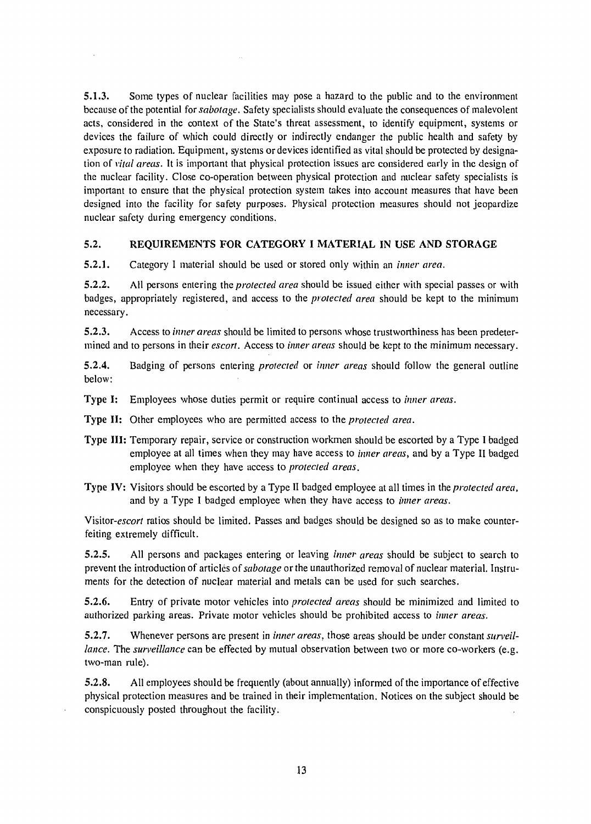**5.1.3.** Some types of nuclear facilities may pose a hazard to the public and to the environment because of the potential for *sabotage.* Safety specialists should evaluate the consequences of malevolent acts, considered in the context of the State's threat assessment, to identify equipment, systems or devices the failure of which could directly or indirectly endanger the public health and safety by exposure to radiation. Equipment, systems or devices identified as vital should be protected by designation of *vital areas.* It is important that physical protection issues are considered early in the design of the nuclear facility. Close co-operation between physical protection and nuclear safety specialists is important to ensure that the physical protection system takes into account measures that have been designed into the facility for safety purposes. Physical protection measures should not jeopardize nuclear safety during emergency conditions.

#### **5.2. REQUIREMENTS FOR CATEGORY I MATERIAL IN USE AND STORAGE**

**5.2.1.** Category I material should be used or stored only within an *inner area.* 

**5.2.2.** AH persons entering the *protected area* should be issued either with special passes or with badges, appropriately registered, and access to the *protected area* should be kept to the minimum necessary.

**5.2.3.** Access to *inner areas* should be limited to persons whose trustworthiness has been predetermined and to persons in their *escort.* Access to *inner areas* should be kept to the minimum necessary.

**5.2.4.** Badging of persons entering *protected* or *inner areas* should follow the general outline below:

Type I: Employees whose duties permit or require continual access to *inner areas.* 

Type **II:** Other employees who are permitted access to the *protected area.* 

- Type **III:** Temporary repair, service or construction workmen should be escorted by a Type I badged employee at all times when they may have access to *inner areas,* and by a Type II badged employee when they have access to *protected areas.*
- Type IV: Visitors should be escorted by a Type II badged employee at all times in the *protected area,*  and by a Type I badged employee when they have access to *inner areas.*

*Visitor-escort* ratios should be limited. Passes and badges should be designed so as to make counterfeiting extremely difficult.

5.2.5. All persons and packages entering or leaving *inner areas* should be subject to search to prevent the introduction of articles of *sabotage* or the unauthorized removal of nuclear material. Instruments for the detection of nuclear material and metals can be used for such searches.

5.2.6. Entry of private motor vehicles into *protected areas* should be minimized and limited to authorized parking areas. Private motor vehicles should be prohibited access to *inner areas.* 

5.2.7. Whenever persons are present in *inner areas,* those areas should be under constant *surveillance.* The *surveillance* can be effected by mutual observation between two or more co-workers (e.g. two-man rule).

5.2.8. All employees should be frequently (about annually) informed of the importance of effective physical protection measures and be trained in their implementation. Notices on the subject should be conspicuously posted throughout the facility.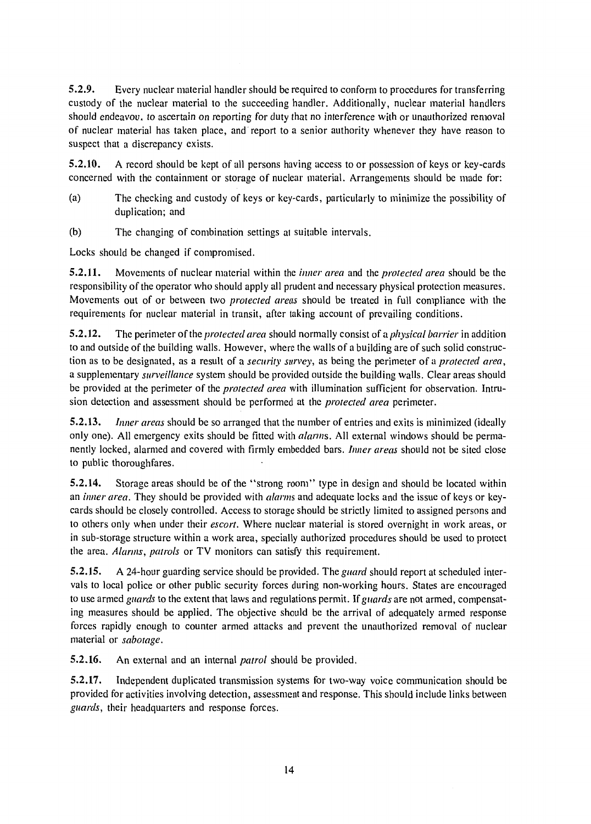5.2.9. Every nuclear material handler should be required to conform to procedures for transferring custody of the nuclear material to the succeeding handler. Additionally, nuclear material handlers should endeavou. to ascertain on reporting for duty that no interference with or unauthorized removal of nuclear material has taken place, and report to a senior authority whenever they have reason to suspect that a discrepancy exists.

5.2.10. A record should be kept of all persons having access to or possession of keys or key-cards concerned with the containment or storage of nuclear material. Arrangements should be made for:

- (a) The checking and custody of keys or key-cards, particularly to minimize the possibility of duplication; and
- (b) The changing of combination settings at suitable intervals.

Locks should be changed if compromised.

5.2.11. Movements of nuclear material within the *inner area* and the *protected area* should be the responsibility of the operator who should apply all prudent and necessary physical protection measures. Movements out of or between two *protected areas* should be treated in full compliance with the requirements for nuclear material in transit, after taking account of prevailing conditions.

5.2.12. The perimeter *of the protected area* should normally consist of a *physical barrier* in addition to and outside of the building walls. However, where the walls of a building are of such solid construction as to be designated, as a result of a *security survey,* as being the perimeter of a *protected area,*  a supplementary *surveillance* system should be provided outside the building walls. Clear areas should be provided at the perimeter ofthe *protected area* with illumination sufficient for observation. Intrusion detection and assessment should be performed at the *protected area* perimeter.

5.2.13. *Inner areas* should be so arranged that the number of entries and exits is minimized (ideally only one). All emergency exits should be fitted with *alarms.* All external windows should be permanently locked, alarmed and covered with firmly embedded bars. *Inner areas* should not be sited close to public thoroughfares.

5.2.14. Storage areas should be of the "strong room" type in design and should be located within an *inner area.* They should be provided with *alarms* and adequate locks and the issue of keys or keycards should be closely controlled. Access to storage should be strictly limited to assigned persons and to others only when under their *escort.* Where nuclear material is stored overnight in work areas, or in sub-storage structure within a work area, specially authorized procedures should be used to protect the area. *Alarms, patrols* or TV monitors can satisfy this requirement.

5.2.15. A 24-hour guarding service should be provided. *The guard* should report at scheduled intervals to local police or other public security forces during non-working hours. States are encouraged to use armed *guards* to the extent that laws and regulations permit. If *guards* are not armed, compensating measures should be applied. The objective should be the arrival of adequately armed response forces rapidly enough to counter armed attacks and prevent the unauthorized removal of nuclear material or *sabotage.* 

5.2.16. An external and an internal *patrol* should be provided,

5.2.17. Independent duplicated transmission systems for two-way voice communication should be provided for activities involving detection, assessment and response. This should include links between *guards,* their headquarters and response forces.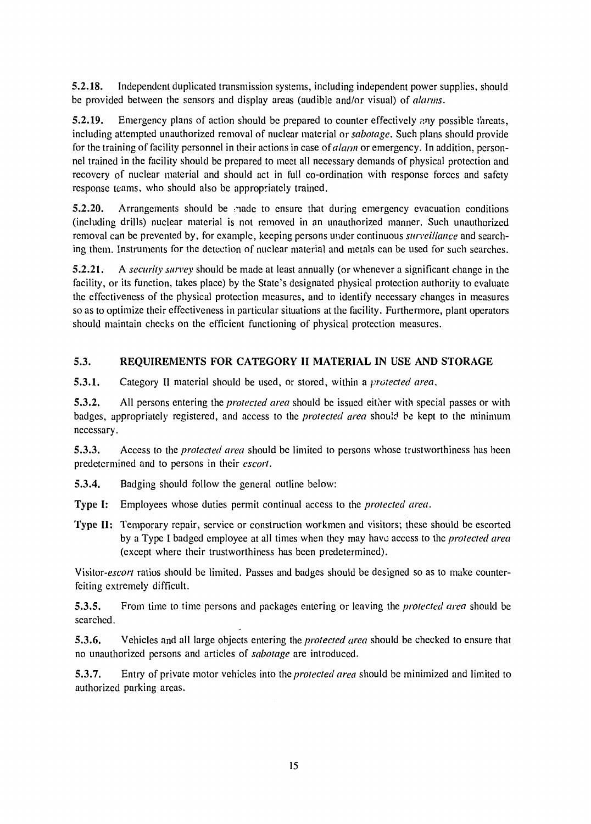**5.2.18.** Independent duplicated transmission systems, including independent power supplies, should be provided between the sensors and display areas (audible and/or visual) of *alarms.* 

**5.2.19.** Emergency plans of action should be prepared to counter effectively any possible threats, including attempted unauthorized removal of nuclear material or *sabotage.* Such plans should provide for the training of facility personnel in their actions in case *of alarm* or emergency. In addition, personnel trained in the facility should be prepared to meet all necessary demands of physical protection and recovery of nuclear material and should act in full co-ordination with response forces and safety response teams, who should also be appropriately trained.

**5.2.20.** Arrangements should be same to ensure that during emergency evacuation conditions (including drills) nuclear material is not removed in an unauthorized manner. Such unauthorized removal can be prevented by, for example, keeping persons under continuous *surveillance* and searching them. Instruments for the detection of nuclear material and metals can be used for such searches.

**5.2.21.** A *security survey* should be made at least annually (or whenever a significant change in the facility, or its function, takes place) by the State's designated physical protection authority to evaluate the effectiveness of the physical protection measures, and to identify necessary changes in measures so as to optimize their effectiveness in particular situations at the facility. Furthermore, plant operators should maintain checks on the efficient functioning of physical protection measures.

### **5.3. REQUIREMENTS FOR CATEGORY II MATERIAL IN USE AND STORAGE**

**5.3.1.** Category II material should be used, or stored, within a *protected area.* 

**5.3.2.** All persons entering the *protected area* should be issued either with special passes or with badges, appropriately registered, and access to the *protected area* should be kept to the minimum necessary.

**5.3.3.** Access to the *protected area* should be limited to persons whose trustworthiness has been predetermined and to persons in their *escort.* 

**5.3.4.** Badging should follow the general outline below:

Type I: Employees whose duties permit continual access to the *protected area.* 

Type **II:** Temporary repair, service or construction workmen and visitors; these should be escorted by a Type I badged employee at all times when they may have access to the *protected area*  (except where their trustworthiness has been predetermined).

Visitor-escort ratios should be limited. Passes and badges should be designed so as to make counterfeiting extremely difficult.

5.3.5. From time to time persons and packages entering or leaving the *protected area* should be searched.

5.3.6. Vehicles and all large objects entering the *protected area* should be checked to ensure that no unauthorized persons and articles of *sabotage* are introduced.

5.3.7. Entry of private motor vehicles into the *protected area* should be minimized and limited to authorized parking areas.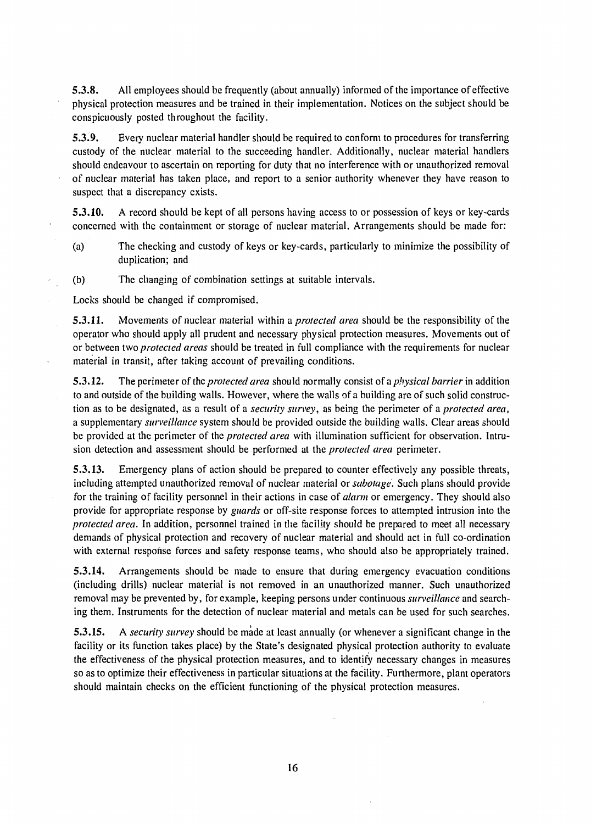5.3.8. All employees should be frequently (about annually) informed of the importance of effective physical protection measures and be trained in their implementation. Notices on the subject should be conspicuously posted throughout the facility.

5.3.9. Every nuclear material handler should be required to conform to procedures for transferring custody of the nuclear material to the succeeding handler. Additionally, nuclear material handlers should endeavour to ascertain on reporting for duty that no interference with or unauthorized removal of nuclear material has taken place, and report to a senior authority whenever they have reason to suspect that a discrepancy exists.

5.3.10. A record should be kept of all persons having access to or possession of keys or key-cards concerned with the containment or storage of nuclear material. Arrangements should be made for:

- (a) The checking and custody of keys or key-cards, particularly to minimize the possibility of duplication; and
- (b) The changing of combination settings at suitable intervals.

Locks should be changed if compromised.

5.3.11. Movements of nuclear material within a *protected area* should be the responsibility of the operator who should apply all prudent and necessary physical protection measures. Movements out of or between two *protected areas* should be treated in full compliance with the requirements for nuclear material in transit, after taking account of prevailing conditions.

5.3.12. The perimeter of the *protected area* should normally consist of a *physical barrier* in addition to and outside of the building walls. However, where the walls of a building are of such solid construction as to be designated, as a result of a *security survey,* as being the perimeter of a *protected area,*  a supplementary *surveillance* system should be provided outside the building walls. Clear areas should be provided at the perimeter of the *protected area* with illumination sufficient for observation. Intrusion detection and assessment should be performed at the *protected area* perimeter.

5.3.13. Emergency plans of action should be prepared to counter effectively any possible threats, including attempted unauthorized removal of nuclear material or *sabotage.* Such plans should provide for the training of facility personnel in their actions in case *oí alarm* or emergency. They should also provide for appropriate response by *guards* or off-site response forces to attempted intrusion into the *protected area.* In addition, personnel trained in the facility should be prepared to meet all necessary demands of physical protection and recovery of nuclear material and should act in full co-ordination with external response forces and safety response teams, who should also be appropriately trained.

5.3.14. Arrangements should be made to ensure that during emergency evacuation conditions (including drills) nuclear material is not removed in an unauthorized manner. Such unauthorized removal may be prevented by, for example, keeping persons under continuous *surveillance* and searching them. Instruments for the detection of nuclear material and metals can be used for such searches.

5.3.15. A *security survey* should be made at least annually (or whenever a significant change in the facility or its function takes place) by the State's designated physical protection authority to evaluate the effectiveness of the physical protection measures, and to identify necessary changes in measures so as to optimize their effectiveness in particular situations at the facility. Furthermore, plant operators should maintain checks on the efficient functioning of the physical protection measures.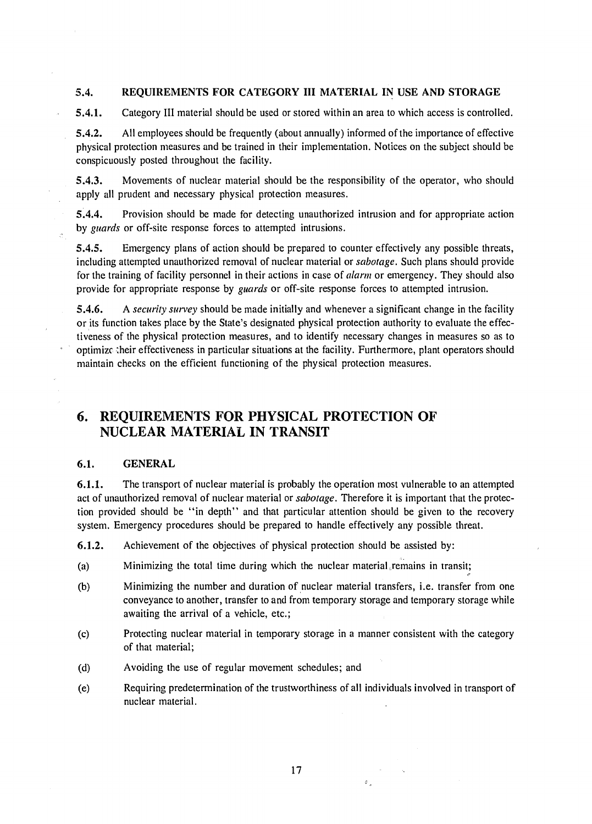#### **5.4. REQUIREMENTS FOR CATEGORY III MATERIAL IN USE AND STORAGE**

**5.4.1.** Category **III** material should be used or stored within an area to which access is controlled.

5.4.2. All employees should be frequently (about annually) informed of the importance of effective physical protection measures and be trained in their implementation. Notices on the subject should be conspicuously posted throughout the facility.

5.4.3. Movements of nuclear material should be the responsibility of the operator, who should apply all prudent and necessary physical protection measures.

5.4.4. Provision should be made for detecting unauthorized intrusion and for appropriate action by *guards* or off-site response forces to attempted intrusions.

5.4.5. Emergency plans of action should be prepared to counter effectively any possible threats, including attempted unauthorized removal of nuclear material or *sabotage.* Such plans should provide for the training of facility personnel in their actions in case of *alarm* or emergency. They should also provide for appropriate response by *guards* or off-site response forces to attempted intrusion.

5.4.6. A *security survey* should be made initially and whenever a significant change in the facility or its function takes place by the State's designated physical protection authority to evaluate the effectiveness of the physical protection measures, and to identify necessary changes in measures so as to optimize their effectiveness in particular situations at the facility. Furthermore, plant operators should maintain checks on the efficient functioning of the physical protection measures.

## 6. REQUIREMENTS FOR PHYSICAL PROTECTION OF NUCLEAR MATERIAL IN TRANSIT

#### 6.1. **GENERAL**

**6.1.1.** The transport of nuclear material is probably the operation most vulnerable to an attempted act of unauthorized removal of nuclear material or *sabotage.* Therefore it is important that the protection provided should be "in depth" and that particular attention should be given to the recovery system. Emergency procedures should be prepared to handle effectively any possible threat.

**6.1.2.** Achievement of the objectives of physical protection should be assisted by:

- (a) Minimizing the total time during which the nuclear material remains in transit;
- (b) Minimizing the number and duration of nuclear material transfers, i.e. transfer from one conveyance to another, transfer to and from temporary storage and temporary storage while awaiting the arrival of a vehicle, etc.;
- (c) Protecting nuclear material in temporary storage in a manner consistent with the category of that material;
- (d) Avoiding the use of regular movement schedules; and
- (e) Requiring predetermination of the trustworthiness of all individuals involved in transport of nuclear material.

 $\sigma$ <sub>o</sub>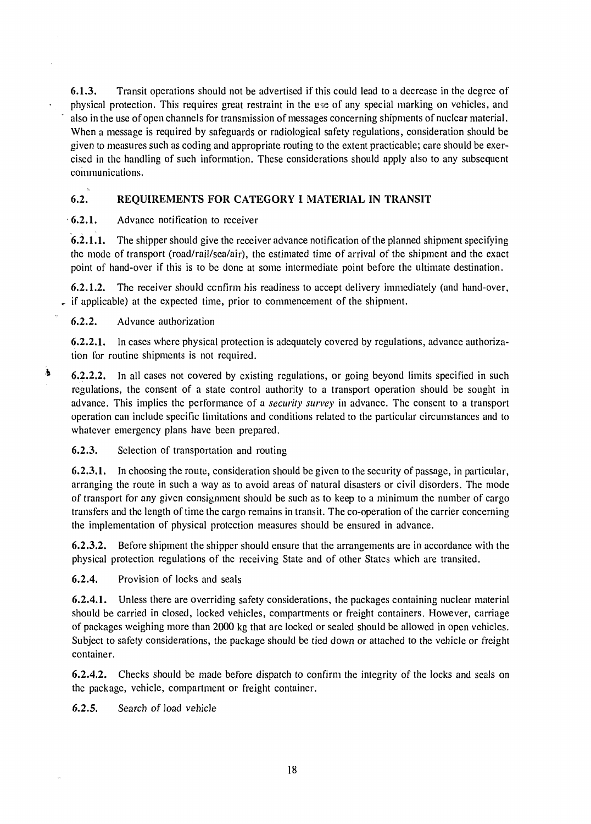**6.1.3.** Transit operations should not be advertised if this could lead to a decrease in the degree of physical protection. This requires great restraint in the use of any special marking on vehicles, and also in the use of open channels for transmission of messages concerning shipments of nuclear material. When a message is required by safeguards or radiological safety regulations, consideration should be given to measures such as coding and appropriate routing to the extent practicable; care should be exercised in the handling of such information. These considerations should apply also to any subsequent communications.

#### **6.2. REQUIREMENTS FOR CATEGORY I MATERIAL IN TRANSIT**

• **6.2.1.** Advance notification to receiver

**6.2.1.1.** The shipper should give the receiver advance notification of the planned shipment specifying the mode of transport (road/rail/sea/air), the estimated time of arrival of the shipment and the exact point of hand-over if this is to be done at some intermediate point before the ultimate destination.

**6.2.1.2.** The receiver should confirm his readiness to accept delivery immediately (and hand-over,  $\epsilon$  if applicable) at the expected time, prior to commencement of the shipment.

6.2.2. Advance authorization

**6.2.2.1.** In cases where physical protection is adequately covered by regulations, advance authorization for routine shipments is not required.

 $\bullet$ **6.2.2.2. In** all cases not covered by existing regulations, or going beyond limits specified in such regulations, the consent of a state control authority to a transport operation should be sought in advance. This implies the performance of a *security survey* in advance. The consent to a transport operation can include specific limitations and conditions related to the particular circumstances and to whatever emergency plans have been prepared.

6.2.3. Selection of transportation and routing

**6.2.3.1.** In choosing the route, consideration should be given to the security of passage, in particular, arranging the route in such a way as to avoid areas of natural disasters or civil disorders. The mode of transport for any given consignment should be such as to keep to a minimum the number of cargo transfers and the length of time the cargo remains in transit. The co-operation of the carrier concerning the implementation of physical protection measures should be ensured in advance.

6.2.3.2. Before shipment the shipper should ensure that the arrangements are in accordance with the physical protection regulations of the receiving State and of other States which are transited.

6.2.4. Provision of locks and seals

**6.2.4.1.** Unless there are overriding safety considerations, the packages containing nuclear material should be carried in closed, locked vehicles, compartments or freight containers. However, carriage of packages weighing more than 2000 kg that are locked or sealed should be allowed in open vehicles. Subject to safety considerations, the package should be tied down or attached to the vehicle or freight container.

**6.2.4.2.** Checks should be made before dispatch to confirm the integrity of the locks and seals on the package, vehicle, compartment or freight container.

6.2.5. Search of load vehicle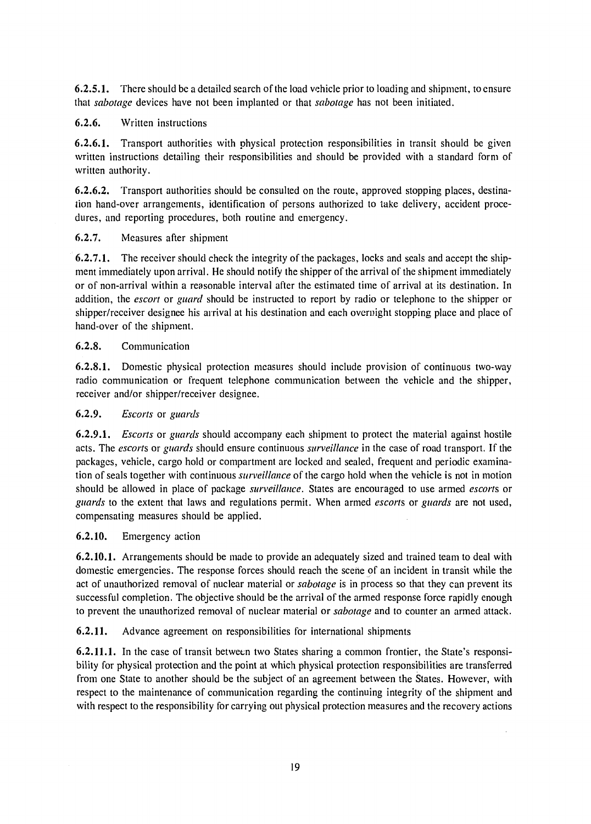6.2.5.1. There should be a detailed search of the load vehicle prior to loading and shipment, to ensure that *sabotage* devices have not been implanted or that *sabotage* has not been initiated.

### 6.2.6. Written instructions

6.2.6.1. Transport authorities with physical protection responsibilities in transit should be given written instructions detailing their responsibilities and should be provided with a standard form of written authority.

6.2.6.2. Transport authorities should be consulted on the route, approved stopping places, destination hand-over arrangements, identification of persons authorized to take delivery, accident procedures, and reporting procedures, both routine and emergency.

### 6.2.7. Measures after shipment

6.2.7.1. The receiver should check the integrity of the packages, locks and seals and accept the shipment immediately upon arrival. He should notify the shipper of the arrival of the shipment immediately or of non-arrival within a reasonable interval after the estimated time of arrival at its destination. In addition, the *escort* or *guard* should be instructed to report by radio or telephone to the shipper or shipper/receiver designee his arrival at his destination and each overnight stopping place and place of hand-over of the shipment.

### 6.2.8. Communication

6.2.8.1. Domestic physical protection measures should include provision of continuous two-way radio communication or frequent telephone communication between the vehicle and the shipper, receiver and/or shipper/receiver designee.

### 6.2.9. *Escorts* or *guards*

6.2.9.1. *Escorts* or *guards* should accompany each shipment to protect the material against hostile acts. The *escorts* or *guards* should ensure continuous *surveillance* in the case of road transport. If the packages, vehicle, cargo hold or compartment are locked and sealed, frequent and periodic examination of seals together with continuous *surveillance* of the cargo hold when the vehicle is not in motion should be allowed in place of package *surveillance.* States are encouraged to use armed *escorts* or *guards* to the extent that laws and regulations permit. When armed *escorts* or *guards* are not used, compensating measures should be applied.

## 6.2.10. Emergency action

6.2.10.1. Arrangements should be made to provide an adequately sized and trained team to deal with domestic emergencies. The response forces should reach the scene of an incident in transit while the act of unauthorized removal of nuclear material or *sabotage* is in process so that they can prevent its successful completion. The objective should be the arrival of the armed response force rapidly enough to prevent the unauthorized removal of nuclear material or *sabotage* and to counter an armed attack.

6.2.11. Advance agreement on responsibilities for international shipments

6.2.11.1. In the case of transit between two States sharing a common frontier, the State's responsibility for physical protection and the point at which physical protection responsibilities are transferred from one State to another should be the subject of an agreement between the States. However, with respect to the maintenance of communication regarding the continuing integrity of the shipment and with respect to the responsibility for carrying out physical protection measures and the recovery actions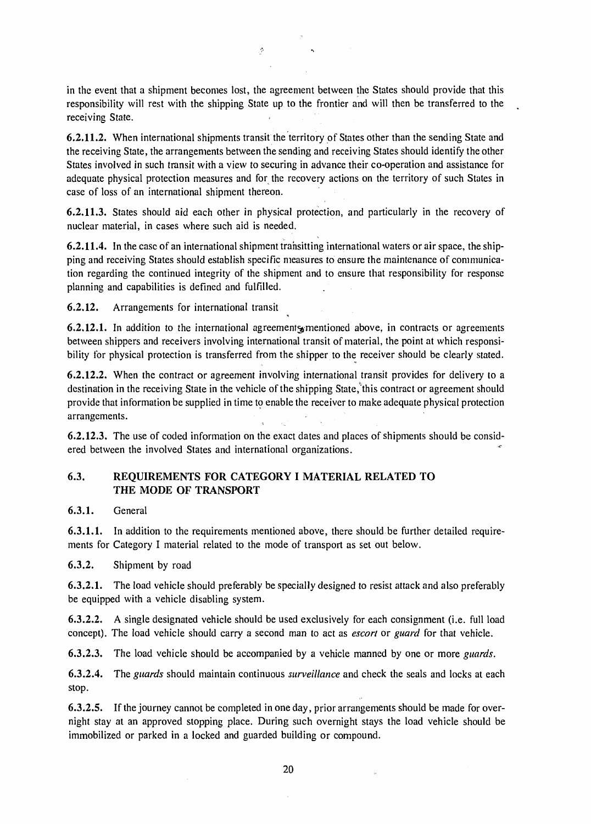in the event that a shipment becomes lost, the agreement between the States should provide that this responsibility will rest with the shipping State up to the frontier and will then be transferred to the receiving State.

**6.2.11.2.** When international shipments transit the territory of States other than the sending State and the receiving State, the arrangements between the sending and receiving States should identify the other States involved in such transit with a view to securing in advance their co-operation and assistance for adequate physical protection measures and for the recovery actions on the territory of such States in case of loss of an international shipment thereon.

**6.2.11.3.** States should aid each other in physical protection, and particularly in the recovery of nuclear material, in cases where such aid is needed.

**6.2.11.4.** In the case of an international shipment trahsitting international waters or air space, the shipping and receiving States should establish specific measures to ensure the maintenance of communication regarding the continued integrity of the shipment and to ensure that responsibility for response planning and capabilities is defined and fulfilled.

**6.2.12.** Arrangements for international transit

**6.2.12.1.** In addition to the international agreements mentioned above, in contracts or agreements between shippers and receivers involving international transit of material, the point at which responsibility for physical protection is transferred from the shipper to the receiver should be clearly stated.

**6.2.12.2.** When the contract or agreement involving international transit provides for delivery to a destination in the receiving State in the vehicle of the shipping State,"this contract or agreement should provide that information be supplied in time to enable the receiver to make adequate physical protection arrangements.

**6.2.12.3.** The use of coded information on the exact dates and places of shipments should be considered between the involved States and international organizations.

#### **6.3. REQUIREMENTS FOR CATEGORY I MATERIAL RELATED TO THE MODE OF TRANSPORT**

**6.3.1.** General

**6.3.1.1.** In addition to the requirements mentioned above, there should be further detailed requirements for Category I material related to the mode of transport as set out below.

6.3.2. Shipment by road

 $\bar{z}$ 

**6.3.2.1.** The load vehicle should preferably be specially designed to resist attack and also preferably be equipped with a vehicle disabling system.

6.3.2.2. A single designated vehicle should be used exclusively for each consignment (i.e. full load concept). The load vehicle should carry a second man to act as *escort* or *guard* for that vehicle.

6.3.2.3. The load vehicle should be accompanied by a vehicle manned by one or more *guards.* 

**6.3.2.4.** The *guards* should maintain continuous *surveillance* and check the seals and locks at each stop.

6.3.2.5. If the journey cannot be completed in one day, prior arrangements should be made for overnight stay at an approved stopping place. During such overnight stays the load vehicle should be immobilized or parked in a locked and guarded building or compound.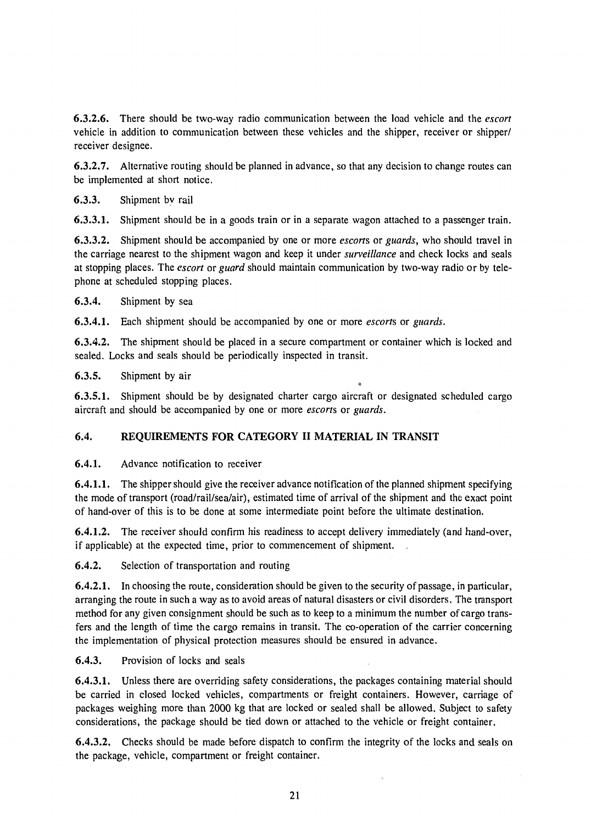**6.3.2.6.** There should be two-way radio communication between the load vehicle and the *escort*  vehicle in addition to communication between these vehicles and the shipper, receiver or shipper/ receiver designee.

**6.3.2.7.** Alternative routing should be planned in advance, so that any decision to change routes can be implemented at short notice.

6.3.3. Shipment by rail

**6.3.3.1.** Shipment should be in a goods train or in a separate wagon attached to a passenger train.

**6.3.3.2.** Shipment should be accompanied by one or more *escorts* or *guards,* who should travel in the carriage nearest to the shipment wagon and keep it under *surveillance* and check locks and seals at stopping places. The *escort* or *guard* should maintain communication by two-way radio or by telephone at scheduled stopping places.

**6.3.4.** Shipment by sea

**6.3.4.1.** Each shipment should be accompanied by one or more *escorts* or *guards.* 

**6.3.4.2.** The shipment should be placed in a secure compartment or container which is locked and sealed. Locks and seals should be periodically inspected in transit.

6.3.5. Shipment by air

**6.3.5.1.** Shipment should be by designated charter cargo aircraft or designated scheduled cargo aircraft and should be accompanied by one or more *escorts* or *guards.* 

**о** 

#### **6.4. REQUIREMENTS FOR CATEGORY II MATERIAL IN TRANSIT**

**6.4.1.** Advance notification to receiver

**6.4.1.1.** The shipper should give the receiver advance notification of the planned shipment specifying the mode of transport (road/rail/sea/air), estimated time of arrival of the shipment and the exact point of hand-over of this is to be done at some intermediate point before the ultimate destination.

**6.4.1.2.** The receiver should confirm his readiness to accept delivery immediately (and hand-over, if applicable) at the expected time, prior to commencement of shipment. .

**6.4.2.** Selection of transportation and routing

**6.4.2.1.** In choosing the route, consideration should be given to the security of passage, in particular, arranging the route in such a way as to avoid areas of natural disasters or civil disorders. The transport method for any given consignment should be such as to keep to a minimum the number of cargo transfers and the length of time the cargo remains in transit. The co-operation of the carrier concerning the implementation of physical protection measures should be ensured in advance.

**6.4.3.** Provision of locks and seals

**6.4.3.1.** Unless there are overriding safety considerations, the packages containing material should be carried in closed locked vehicles, compartments or freight containers. However, carriage of packages weighing more than 2000 kg that are locked or sealed shall be allowed. Subject to safety considerations, the package should be tied down or attached to the vehicle or freight container.

**6.4.3.2.** Checks should be made before dispatch to confirm the integrity of the locks and seals on the package, vehicle, compartment or freight container.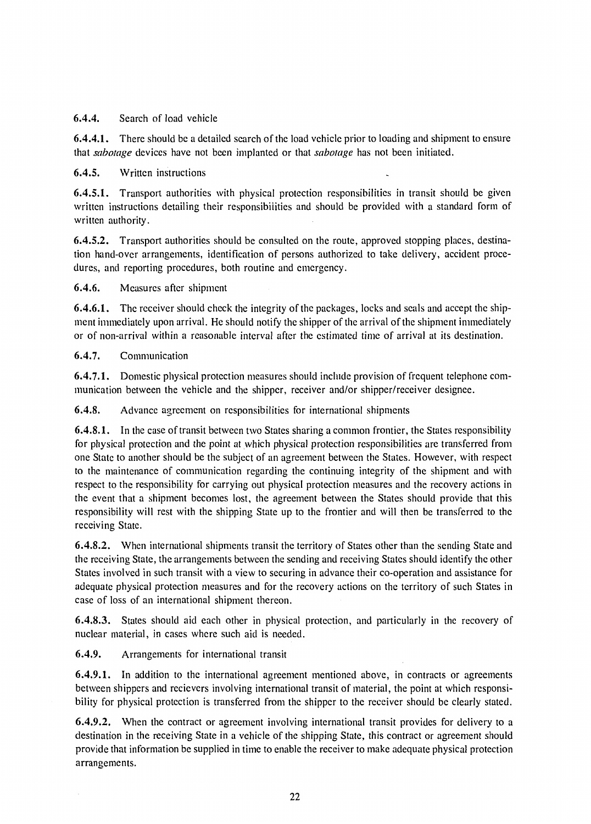#### 6.4.4. Search of load vehicle

6.4.4.1. There should be a detailed search of the load vehicle prior to loading and shipment to ensure that *sabotage* devices have not been implanted or that *sabotage* has not been initiated.

#### 6.4.5. Written instructions

6.4.5.1. Transport authorities with physical protection responsibilities in transit should be given written instructions detailing their responsibilities and should be provided with a standard form of written authority.

6.4.5.2. Transport authorities should be consulted on the route, approved stopping places, destination hand-over arrangements, identification of persons authorized to take delivery, accident procedures, and reporting procedures, both routine and emergency.

6.4.6. Measures after shipment

6.4.6.1. The receiver should check the integrity of the packages, locks and seals and accept the shipment immediately upon arrival. He should notify the shipper of the arrival of the shipment immediately or of non-arrival within a reasonable interval after the estimated time of arrival at its destination.

#### 6.4.7. Communication

6.4.7.1. Domestic physical protection measures should include provision of frequent telephone communication between the vehicle and the shipper, receiver and/or shipper/receiver designee.

6.4.8. Advance agreement on responsibilities for international shipments

6.4.8.1. In the case of transit between two States sharing a common frontier, the States responsibility for physical protection and the point at which physical protection responsibilities are transferred from one State to another should be the subject of an agreement between the States. However, with respect to the maintenance of communication regarding the continuing integrity of the shipment and with respect to the responsibility for carrying out physical protection measures and the recovery actions in the event that a shipment becomes lost, the agreement between the States should provide that this responsibility will rest with the shipping State up to the frontier and will then be transferred to the receiving State.

6.4.8.2. When international shipments transit the territory of States other than the sending State and the receiving State, the arrangements between the sending and receiving States should identify the other States involved in such transit with a view to securing in advance their co-operation and assistance for adequate physical protection measures and for the recovery actions on the territory of such States in case of loss of an international shipment thereon.

6.4.8.3. States should aid each other in physical protection, and particularly in the recovery of nuclear material, in cases where such aid is needed.

6.4.9. Arrangements for international transit

6.4.9.1. In addition to the international agreement mentioned above, in contracts or agreements between shippers and recievers involving international transit of material, the point at which responsibility for physical protection is transferred from the shipper to the receiver should be clearly stated.

6.4.9.2. When the contract or agreement involving international transit provides for delivery to a destination in the receiving State in a vehicle of the shipping State, this contract or agreement should provide that information be supplied in time to enable the receiver to make adequate physical protection arrangements.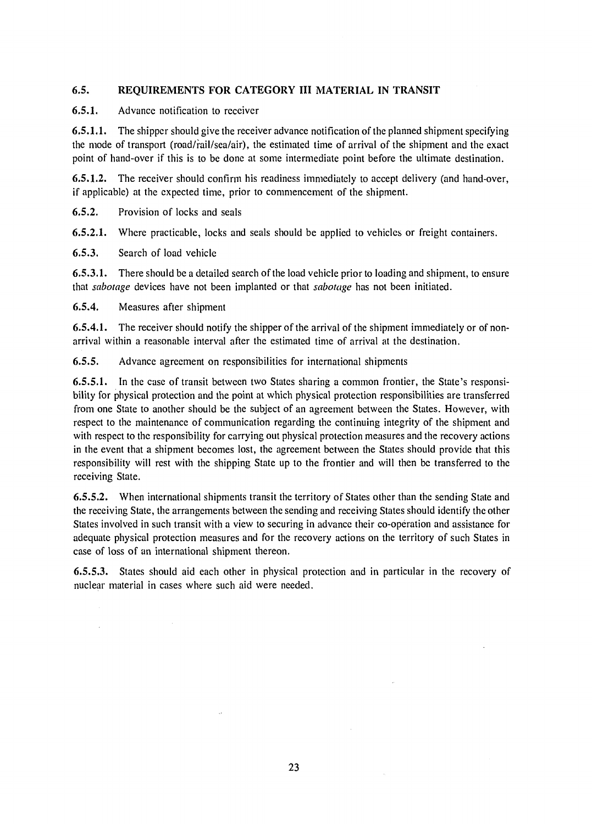#### **6.5. REQUIREMENTS FOR CATEGORY** III **MATERIAL IN TRANSIT**

#### **6.5.1.** Advance notification to receiver

**6.5.1.1.** The shipper should give the receiver advance notification of the planned shipment specifying the mode of transport (road/fail/sea/air), the estimated time of arrival of the shipment and the exact point of hand-over if this is to be done at some intermediate point before the ultimate destination.

**6.5.1.2.** The receiver should confirm his readiness immediately to accept delivery (and hand-over, if applicable) at the expected time, prior to commencement of the shipment.

6.5.2. Provision of locks and seals

**6.5.2.1.** Where practicable, locks and seals should be applied to vehicles or freight containers.

6.5.3. Search of load vehicle

**6.5.3.1.** There should be a detailed search of the load vehicle prior to loading and shipment, to ensure that *sabotage* devices have not been implanted or that *sabotage* has not been initiated.

6.5.4. Measures after shipment

 $\hat{\mathcal{A}}$ 

**6.5.4.1.** The receiver should notify the shipper of the arrival of the shipment immediately or of nonarrival within a reasonable interval after the estimated time of arrival at the destination.

6.5.5. Advance agreement on responsibilities for international shipments

**6.5.5.1.** In the case of transit between two States sharing a common frontier, the State's responsibility for physical protection and the point at which physical protection responsibilities are transferred from one State to another should be the subject of an agreement between the States. However, with respect to the maintenance of communication regarding the continuing integrity of the shipment and with respect to the responsibility for carrying out physical protection measures and the recovery actions in the event that a shipment becomes lost, the agreement between the States should provide that this responsibility will rest with the shipping State up to the frontier and will then be transferred to the receiving State.

**6.5.5.2.** When international shipments transit the territory of States other than the sending State and the receiving State, the arrangements between the sending and receiving States should identify the other States involved in such transit with a view to securing in advance their co-operation and assistance for adequate physical protection measures and for the recovery actions on the territory of such States in case of loss of an international shipment thereon.

6.5.5.3. States should aid each other in physical protection and in particular in the recovery of nuclear material in cases where such aid were needed.